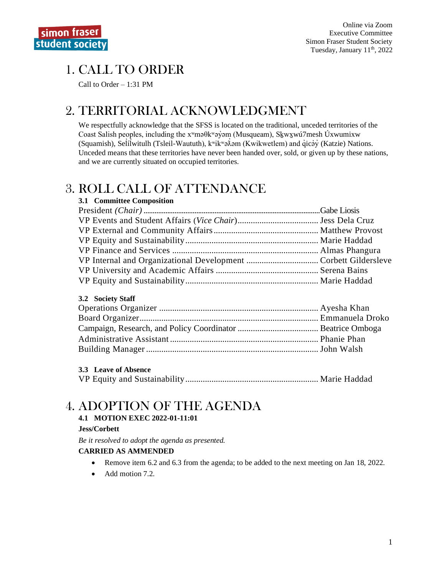# 1. CALL TO ORDER

Call to Order  $-1:31$  PM

## 2. TERRITORIAL ACKNOWLEDGMENT

We respectfully acknowledge that the SFSS is located on the traditional, unceded territories of the Coast Salish peoples, including the x<sup>w</sup>ma0kwayom (Musqueam), Skwxwu7mesh Uxwumixw (Squamish), Selilwitulh (Tsleil-Waututh),  $k^w$ ik " $\partial \lambda$ əm (Kwikwetlem) and qicəy (Katzie) Nations. Unceded means that these territories have never been handed over, sold, or given up by these nations, and we are currently situated on occupied territories.

## **3. ROLL CALL OF ATTENDANCE**

| 3.1 Committee Composition |  |
|---------------------------|--|
|                           |  |
|                           |  |
|                           |  |
|                           |  |
|                           |  |
|                           |  |
|                           |  |
|                           |  |

### 3.2 Society Staff

### 3.3 Leave of Absence

|--|--|

# **4. ADOPTION OF THE AGENDA**

#### 4.1 MOTION EXEC 2022-01-11:01

#### Jess/Corbett

Be it resolved to adopt the agenda as presented.

### **CARRIED AS AMMENDED**

- $\bullet$ Remove item 6.2 and 6.3 from the agenda; to be added to the next meeting on Jan 18, 2022.
- Add motion 7.2.  $\bullet$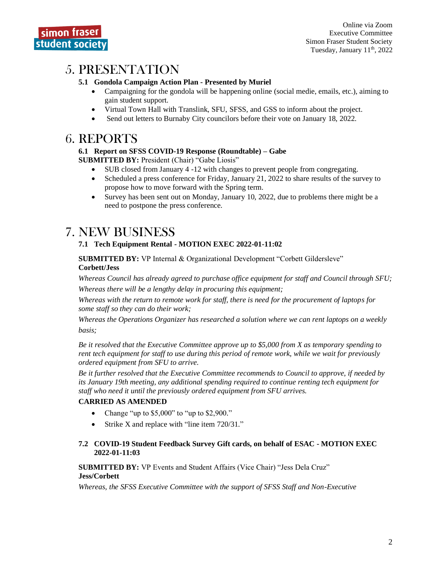## 5. PRESENTATION

#### **5.1 Gondola Campaign Action Plan - Presented by Muriel**

- Campaigning for the gondola will be happening online (social medie, emails, etc.), aiming to gain student support.
- Virtual Town Hall with Translink, SFU, SFSS, and GSS to inform about the project.
- Send out letters to Burnaby City councilors before their vote on January 18, 2022.

## 6. REPORTS

#### **6.1 Report on SFSS COVID-19 Response (Roundtable) – Gabe**

**SUBMITTED BY:** President (Chair) "Gabe Liosis"

- SUB closed from January 4 -12 with changes to prevent people from congregating.
- Scheduled a press conference for Friday, January 21, 2022 to share results of the survey to propose how to move forward with the Spring term.
- Survey has been sent out on Monday, January 10, 2022, due to problems there might be a need to postpone the press conference.

## 7. NEW BUSINESS

#### **7.1 Tech Equipment Rental - MOTION EXEC 2022-01-11:02**

**SUBMITTED BY:** VP Internal & Organizational Development "Corbett Gildersleve" **Corbett/Jess**

*Whereas Council has already agreed to purchase office equipment for staff and Council through SFU; Whereas there will be a lengthy delay in procuring this equipment;*

*Whereas with the return to remote work for staff, there is need for the procurement of laptops for some staff so they can do their work;*

*Whereas the Operations Organizer has researched a solution where we can rent laptops on a weekly basis;*

*Be it resolved that the Executive Committee approve up to \$5,000 from X as temporary spending to rent tech equipment for staff to use during this period of remote work, while we wait for previously ordered equipment from SFU to arrive.*

*Be it further resolved that the Executive Committee recommends to Council to approve, if needed by its January 19th meeting, any additional spending required to continue renting tech equipment for staff who need it until the previously ordered equipment from SFU arrives.*

#### **CARRIED AS AMENDED**

- Change "up to \$5,000" to "up to \$2,900."
- Strike X and replace with "line item 720/31."

#### **7.2 COVID-19 Student Feedback Survey Gift cards, on behalf of ESAC - MOTION EXEC 2022-01-11:03**

**SUBMITTED BY:** VP Events and Student Affairs (Vice Chair) "Jess Dela Cruz" **Jess/Corbett**

*Whereas, the SFSS Executive Committee with the support of SFSS Staff and Non-Executive*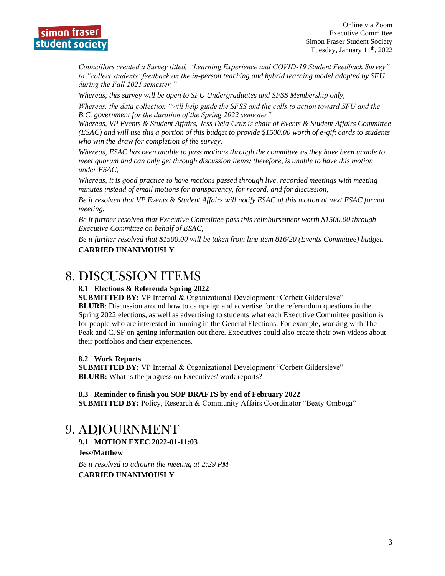

*Councillors created a Survey titled, "Learning Experience and COVID-19 Student Feedback Survey" to "collect students' feedback on the in-person teaching and hybrid learning model adopted by SFU during the Fall 2021 semester,"* 

*Whereas, this survey will be open to SFU Undergraduates and SFSS Membership only,*

*Whereas, the data collection "will help guide the SFSS and the calls to action toward SFU and the B.C. government for the duration of the Spring 2022 semester"*

*Whereas, VP Events & Student Affairs, Jess Dela Cruz is chair of Events & Student Affairs Committee (ESAC) and will use this a portion of this budget to provide \$1500.00 worth of e-gift cards to students who win the draw for completion of the survey,*

*Whereas, ESAC has been unable to pass motions through the committee as they have been unable to meet quorum and can only get through discussion items; therefore, is unable to have this motion under ESAC,*

*Whereas, it is good practice to have motions passed through live, recorded meetings with meeting minutes instead of email motions for transparency, for record, and for discussion,*

*Be it resolved that VP Events & Student Affairs will notify ESAC of this motion at next ESAC formal meeting,*

*Be it further resolved that Executive Committee pass this reimbursement worth \$1500.00 through Executive Committee on behalf of ESAC,*

*Be it further resolved that \$1500.00 will be taken from line item 816/20 (Events Committee) budget.* **CARRIED UNANIMOUSLY** 

### 8. DISCUSSION ITEMS

#### **8.1 Elections & Referenda Spring 2022**

**SUBMITTED BY:** VP Internal & Organizational Development "Corbett Gildersleve" **BLURB**: Discussion around how to campaign and advertise for the referendum questions in the Spring 2022 elections, as well as advertising to students what each Executive Committee position is for people who are interested in running in the General Elections. For example, working with The Peak and CJSF on getting information out there. Executives could also create their own videos about their portfolios and their experiences.

#### **8.2 Work Reports**

**SUBMITTED BY:** VP Internal & Organizational Development "Corbett Gildersleve" **BLURB:** What is the progress on Executives' work reports?

#### **8.3 Reminder to finish you SOP DRAFTS by end of February 2022**

**SUBMITTED BY:** Policy, Research & Community Affairs Coordinator "Beaty Omboga"

### 9. ADJOURNMENT

**9.1 MOTION EXEC 2022-01-11:03** 

**Jess/Matthew**

*Be it resolved to adjourn the meeting at 2:29 PM* **CARRIED UNANIMOUSLY**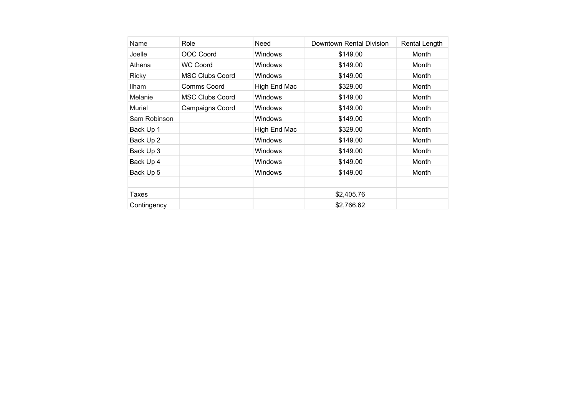| Name         | Role                   | Need           | Downtown Rental Division | Rental Length |
|--------------|------------------------|----------------|--------------------------|---------------|
| Joelle       | OOC Coord              | <b>Windows</b> | \$149.00                 | Month         |
| Athena       | <b>WC Coord</b>        | <b>Windows</b> | \$149.00                 | Month         |
| <b>Ricky</b> | <b>MSC Clubs Coord</b> | Windows        | \$149.00                 | Month         |
| <b>Ilham</b> | Comms Coord            | High End Mac   | \$329.00                 | Month         |
| Melanie      | <b>MSC Clubs Coord</b> | Windows        | \$149.00                 | Month         |
| Muriel       | <b>Campaigns Coord</b> | Windows        | \$149.00                 | Month         |
| Sam Robinson |                        | <b>Windows</b> | \$149.00                 | Month         |
| Back Up 1    |                        | High End Mac   | \$329.00                 | Month         |
| Back Up 2    |                        | Windows        | \$149.00                 | Month         |
| Back Up 3    |                        | <b>Windows</b> | \$149.00                 | Month         |
| Back Up 4    |                        | <b>Windows</b> | \$149.00                 | Month         |
| Back Up 5    |                        | Windows        | \$149.00                 | Month         |
|              |                        |                |                          |               |
| Taxes        |                        |                | \$2,405.76               |               |
| Contingency  |                        |                | \$2,766.62               |               |